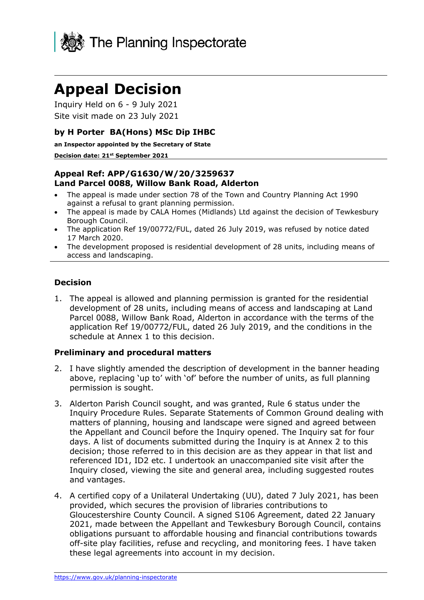

# **Appeal Decision**

Inquiry Held on 6 - 9 July 2021 Site visit made on 23 July 2021

#### **by H Porter BA(Hons) MSc Dip IHBC**

**an Inspector appointed by the Secretary of State** 

#### **Decision date: 21st September 2021**

#### **Appeal Ref: APP/G1630/W/20/3259637 Land Parcel 0088, Willow Bank Road, Alderton**

- The appeal is made under section 78 of the Town and Country Planning Act 1990 against a refusal to grant planning permission.
- The appeal is made by CALA Homes (Midlands) Ltd against the decision of Tewkesbury Borough Council.
- The application Ref 19/00772/FUL, dated 26 July 2019, was refused by notice dated 17 March 2020.
- The development proposed is residential development of 28 units, including means of access and landscaping.

#### **Decision**

1. The appeal is allowed and planning permission is granted for the residential development of 28 units, including means of access and landscaping at Land Parcel 0088, Willow Bank Road, Alderton in accordance with the terms of the application Ref 19/00772/FUL, dated 26 July 2019, and the conditions in the schedule at Annex 1 to this decision.

#### **Preliminary and procedural matters**

- 2. I have slightly amended the description of development in the banner heading above, replacing 'up to' with 'of' before the number of units, as full planning permission is sought.
- 3. Alderton Parish Council sought, and was granted, Rule 6 status under the Inquiry Procedure Rules. Separate Statements of Common Ground dealing with matters of planning, housing and landscape were signed and agreed between the Appellant and Council before the Inquiry opened. The Inquiry sat for four days. A list of documents submitted during the Inquiry is at Annex 2 to this decision; those referred to in this decision are as they appear in that list and referenced ID1, ID2 etc. I undertook an unaccompanied site visit after the Inquiry closed, viewing the site and general area, including suggested routes and vantages.
- 4. A certified copy of a Unilateral Undertaking (UU), dated 7 July 2021, has been provided, which secures the provision of libraries contributions to Gloucestershire County Council. A signed S106 Agreement, dated 22 January 2021, made between the Appellant and Tewkesbury Borough Council, contains obligations pursuant to affordable housing and financial contributions towards off-site play facilities, refuse and recycling, and monitoring fees. I have taken these legal agreements into account in my decision.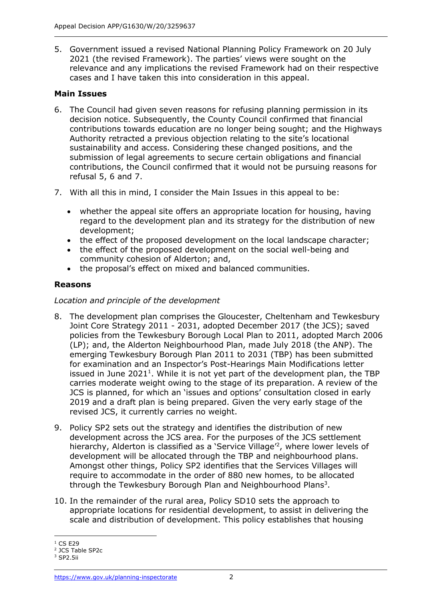5. Government issued a revised National Planning Policy Framework on 20 July 2021 (the revised Framework). The parties' views were sought on the relevance and any implications the revised Framework had on their respective cases and I have taken this into consideration in this appeal.

## **Main Issues**

- 6. The Council had given seven reasons for refusing planning permission in its decision notice. Subsequently, the County Council confirmed that financial contributions towards education are no longer being sought; and the Highways Authority retracted a previous objection relating to the site's locational sustainability and access. Considering these changed positions, and the submission of legal agreements to secure certain obligations and financial contributions, the Council confirmed that it would not be pursuing reasons for refusal 5, 6 and 7.
- 7. With all this in mind, I consider the Main Issues in this appeal to be:
	- whether the appeal site offers an appropriate location for housing, having regard to the development plan and its strategy for the distribution of new development;
	- the effect of the proposed development on the local landscape character;
	- the effect of the proposed development on the social well-being and community cohesion of Alderton; and,
	- the proposal's effect on mixed and balanced communities.

# **Reasons**

#### *Location and principle of the development*

- 8. The development plan comprises the Gloucester, Cheltenham and Tewkesbury Joint Core Strategy 2011 - 2031, adopted December 2017 (the JCS); saved policies from the Tewkesbury Borough Local Plan to 2011, adopted March 2006 (LP); and, the Alderton Neighbourhood Plan, made July 2018 (the ANP). The emerging Tewkesbury Borough Plan 2011 to 2031 (TBP) has been submitted for examination and an Inspector's Post-Hearings Main Modifications letter issued in June 2021<sup>1</sup>. While it is not yet part of the development plan, the TBP carries moderate weight owing to the stage of its preparation. A review of the JCS is planned, for which an 'issues and options' consultation closed in early 2019 and a draft plan is being prepared. Given the very early stage of the revised JCS, it currently carries no weight.
- 9. Policy SP2 sets out the strategy and identifies the distribution of new development across the JCS area. For the purposes of the JCS settlement hierarchy, Alderton is classified as a 'Service Village<sup>'2</sup>, where lower levels of development will be allocated through the TBP and neighbourhood plans. Amongst other things, Policy SP2 identifies that the Services Villages will require to accommodate in the order of 880 new homes, to be allocated through the Tewkesbury Borough Plan and Neighbourhood Plans<sup>3</sup>.
- 10. In the remainder of the rural area, Policy SD10 sets the approach to appropriate locations for residential development, to assist in delivering the scale and distribution of development. This policy establishes that housing

 $1 \text{ CS } E29$ 

<sup>2</sup> JCS Table SP2c

<sup>3</sup> SP2.5ii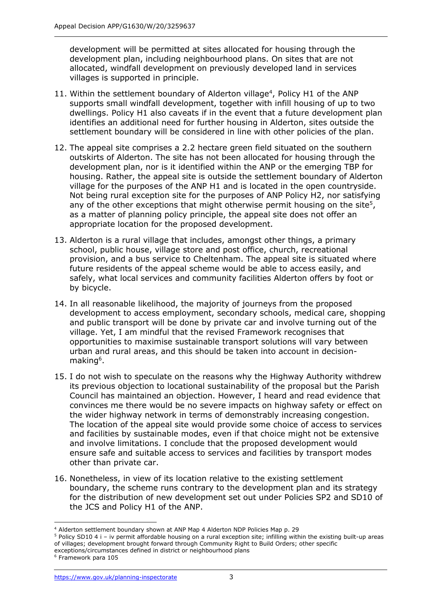development will be permitted at sites allocated for housing through the development plan, including neighbourhood plans. On sites that are not allocated, windfall development on previously developed land in services villages is supported in principle.

- 11. Within the settlement boundary of Alderton village<sup>4</sup>, Policy H1 of the ANP supports small windfall development, together with infill housing of up to two dwellings. Policy H1 also caveats if in the event that a future development plan identifies an additional need for further housing in Alderton, sites outside the settlement boundary will be considered in line with other policies of the plan.
- 12. The appeal site comprises a 2.2 hectare green field situated on the southern outskirts of Alderton. The site has not been allocated for housing through the development plan, nor is it identified within the ANP or the emerging TBP for housing. Rather, the appeal site is outside the settlement boundary of Alderton village for the purposes of the ANP H1 and is located in the open countryside. Not being rural exception site for the purposes of ANP Policy H2, nor satisfying any of the other exceptions that might otherwise permit housing on the site<sup>5</sup>, as a matter of planning policy principle, the appeal site does not offer an appropriate location for the proposed development.
- 13. Alderton is a rural village that includes, amongst other things, a primary school, public house, village store and post office, church, recreational provision, and a bus service to Cheltenham. The appeal site is situated where future residents of the appeal scheme would be able to access easily, and safely, what local services and community facilities Alderton offers by foot or by bicycle.
- 14. In all reasonable likelihood, the majority of journeys from the proposed development to access employment, secondary schools, medical care, shopping and public transport will be done by private car and involve turning out of the village. Yet, I am mindful that the revised Framework recognises that opportunities to maximise sustainable transport solutions will vary between urban and rural areas, and this should be taken into account in decisionmaking<sup>6</sup>.
- 15. I do not wish to speculate on the reasons why the Highway Authority withdrew its previous objection to locational sustainability of the proposal but the Parish Council has maintained an objection. However, I heard and read evidence that convinces me there would be no severe impacts on highway safety or effect on the wider highway network in terms of demonstrably increasing congestion. The location of the appeal site would provide some choice of access to services and facilities by sustainable modes, even if that choice might not be extensive and involve limitations. I conclude that the proposed development would ensure safe and suitable access to services and facilities by transport modes other than private car.
- 16. Nonetheless, in view of its location relative to the existing settlement boundary, the scheme runs contrary to the development plan and its strategy for the distribution of new development set out under Policies SP2 and SD10 of the JCS and Policy H1 of the ANP.

<sup>4</sup> Alderton settlement boundary shown at ANP Map 4 Alderton NDP Policies Map p. 29

<sup>5</sup> Policy SD10 4 i – iv permit affordable housing on a rural exception site; infilling within the existing built-up areas of villages; development brought forward through Community Right to Build Orders; other specific exceptions/circumstances defined in district or neighbourhood plans

<sup>6</sup> Framework para 105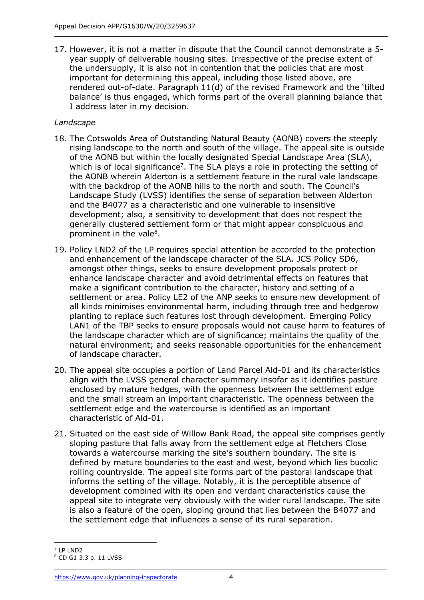17. However, it is not a matter in dispute that the Council cannot demonstrate a 5 year supply of deliverable housing sites. Irrespective of the precise extent of the undersupply, it is also not in contention that the policies that are most important for determining this appeal, including those listed above, are rendered out-of-date. Paragraph 11(d) of the revised Framework and the 'tilted balance' is thus engaged, which forms part of the overall planning balance that I address later in my decision.

#### *Landscape*

- 18. The Cotswolds Area of Outstanding Natural Beauty (AONB) covers the steeply rising landscape to the north and south of the village. The appeal site is outside of the AONB but within the locally designated Special Landscape Area (SLA), which is of local significance<sup>7</sup>. The SLA plays a role in protecting the setting of the AONB wherein Alderton is a settlement feature in the rural vale landscape with the backdrop of the AONB hills to the north and south. The Council's Landscape Study (LVSS) identifies the sense of separation between Alderton and the B4077 as a characteristic and one vulnerable to insensitive development; also, a sensitivity to development that does not respect the generally clustered settlement form or that might appear conspicuous and prominent in the vale<sup>8</sup>.
- 19. Policy LND2 of the LP requires special attention be accorded to the protection and enhancement of the landscape character of the SLA. JCS Policy SD6, amongst other things, seeks to ensure development proposals protect or enhance landscape character and avoid detrimental effects on features that make a significant contribution to the character, history and setting of a settlement or area. Policy LE2 of the ANP seeks to ensure new development of all kinds minimises environmental harm, including through tree and hedgerow planting to replace such features lost through development. Emerging Policy LAN1 of the TBP seeks to ensure proposals would not cause harm to features of the landscape character which are of significance; maintains the quality of the natural environment; and seeks reasonable opportunities for the enhancement of landscape character.
- 20. The appeal site occupies a portion of Land Parcel Ald-01 and its characteristics align with the LVSS general character summary insofar as it identifies pasture enclosed by mature hedges, with the openness between the settlement edge and the small stream an important characteristic. The openness between the settlement edge and the watercourse is identified as an important characteristic of Ald-01.
- 21. Situated on the east side of Willow Bank Road, the appeal site comprises gently sloping pasture that falls away from the settlement edge at Fletchers Close towards a watercourse marking the site's southern boundary. The site is defined by mature boundaries to the east and west, beyond which lies bucolic rolling countryside. The appeal site forms part of the pastoral landscape that informs the setting of the village. Notably, it is the perceptible absence of development combined with its open and verdant characteristics cause the appeal site to integrate very obviously with the wider rural landscape. The site is also a feature of the open, sloping ground that lies between the B4077 and the settlement edge that influences a sense of its rural separation.

<sup>7</sup> LP LND2

<sup>8</sup> CD G1 3.3 p. 11 LVSS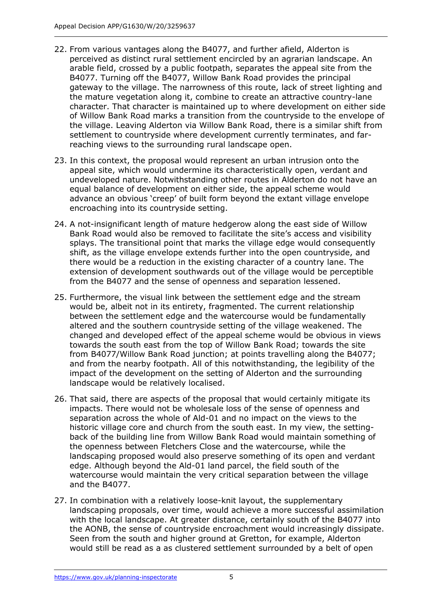- 22. From various vantages along the B4077, and further afield, Alderton is perceived as distinct rural settlement encircled by an agrarian landscape. An arable field, crossed by a public footpath, separates the appeal site from the B4077. Turning off the B4077, Willow Bank Road provides the principal gateway to the village. The narrowness of this route, lack of street lighting and the mature vegetation along it, combine to create an attractive country-lane character. That character is maintained up to where development on either side of Willow Bank Road marks a transition from the countryside to the envelope of the village. Leaving Alderton via Willow Bank Road, there is a similar shift from settlement to countryside where development currently terminates, and farreaching views to the surrounding rural landscape open.
- 23. In this context, the proposal would represent an urban intrusion onto the appeal site, which would undermine its characteristically open, verdant and undeveloped nature. Notwithstanding other routes in Alderton do not have an equal balance of development on either side, the appeal scheme would advance an obvious 'creep' of built form beyond the extant village envelope encroaching into its countryside setting.
- 24. A not-insignificant length of mature hedgerow along the east side of Willow Bank Road would also be removed to facilitate the site's access and visibility splays. The transitional point that marks the village edge would consequently shift, as the village envelope extends further into the open countryside, and there would be a reduction in the existing character of a country lane. The extension of development southwards out of the village would be perceptible from the B4077 and the sense of openness and separation lessened.
- 25. Furthermore, the visual link between the settlement edge and the stream would be, albeit not in its entirety, fragmented. The current relationship between the settlement edge and the watercourse would be fundamentally altered and the southern countryside setting of the village weakened. The changed and developed effect of the appeal scheme would be obvious in views towards the south east from the top of Willow Bank Road; towards the site from B4077/Willow Bank Road junction; at points travelling along the B4077; and from the nearby footpath. All of this notwithstanding, the legibility of the impact of the development on the setting of Alderton and the surrounding landscape would be relatively localised.
- 26. That said, there are aspects of the proposal that would certainly mitigate its impacts. There would not be wholesale loss of the sense of openness and separation across the whole of Ald-01 and no impact on the views to the historic village core and church from the south east. In my view, the settingback of the building line from Willow Bank Road would maintain something of the openness between Fletchers Close and the watercourse, while the landscaping proposed would also preserve something of its open and verdant edge. Although beyond the Ald-01 land parcel, the field south of the watercourse would maintain the very critical separation between the village and the B4077.
- 27. In combination with a relatively loose-knit layout, the supplementary landscaping proposals, over time, would achieve a more successful assimilation with the local landscape. At greater distance, certainly south of the B4077 into the AONB, the sense of countryside encroachment would increasingly dissipate. Seen from the south and higher ground at Gretton, for example, Alderton would still be read as a as clustered settlement surrounded by a belt of open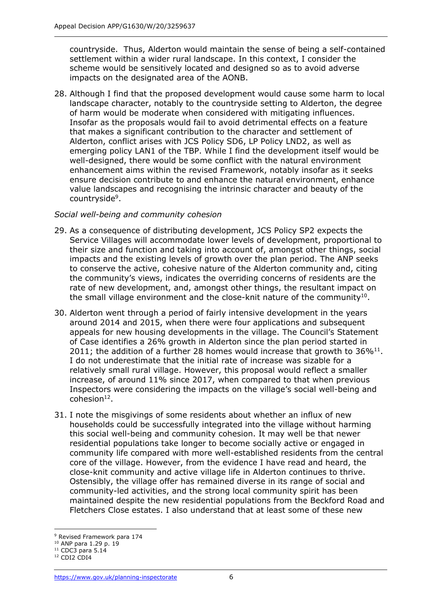countryside. Thus, Alderton would maintain the sense of being a self-contained settlement within a wider rural landscape. In this context, I consider the scheme would be sensitively located and designed so as to avoid adverse impacts on the designated area of the AONB.

28. Although I find that the proposed development would cause some harm to local landscape character, notably to the countryside setting to Alderton, the degree of harm would be moderate when considered with mitigating influences. Insofar as the proposals would fail to avoid detrimental effects on a feature that makes a significant contribution to the character and settlement of Alderton, conflict arises with JCS Policy SD6, LP Policy LND2, as well as emerging policy LAN1 of the TBP. While I find the development itself would be well-designed, there would be some conflict with the natural environment enhancement aims within the revised Framework, notably insofar as it seeks ensure decision contribute to and enhance the natural environment, enhance value landscapes and recognising the intrinsic character and beauty of the countryside<sup>9</sup>.

#### *Social well-being and community cohesion*

- 29. As a consequence of distributing development, JCS Policy SP2 expects the Service Villages will accommodate lower levels of development, proportional to their size and function and taking into account of, amongst other things, social impacts and the existing levels of growth over the plan period. The ANP seeks to conserve the active, cohesive nature of the Alderton community and, citing the community's views, indicates the overriding concerns of residents are the rate of new development, and, amongst other things, the resultant impact on the small village environment and the close-knit nature of the community $^{10}$ .
- 30. Alderton went through a period of fairly intensive development in the years around 2014 and 2015, when there were four applications and subsequent appeals for new housing developments in the village. The Council's Statement of Case identifies a 26% growth in Alderton since the plan period started in 2011; the addition of a further 28 homes would increase that growth to  $36\%^{11}$ . I do not underestimate that the initial rate of increase was sizable for a relatively small rural village. However, this proposal would reflect a smaller increase, of around 11% since 2017, when compared to that when previous Inspectors were considering the impacts on the village's social well-being and  $cohesion<sup>12</sup>$ .
- 31. I note the misgivings of some residents about whether an influx of new households could be successfully integrated into the village without harming this social well-being and community cohesion. It may well be that newer residential populations take longer to become socially active or engaged in community life compared with more well-established residents from the central core of the village. However, from the evidence I have read and heard, the close-knit community and active village life in Alderton continues to thrive. Ostensibly, the village offer has remained diverse in its range of social and community-led activities, and the strong local community spirit has been maintained despite the new residential populations from the Beckford Road and Fletchers Close estates. I also understand that at least some of these new

<sup>9</sup> Revised Framework para 174

<sup>10</sup> ANP para 1.29 p. 19

 $11$  CDC3 para 5.14

<sup>&</sup>lt;sup>12</sup> CDI2 CDI4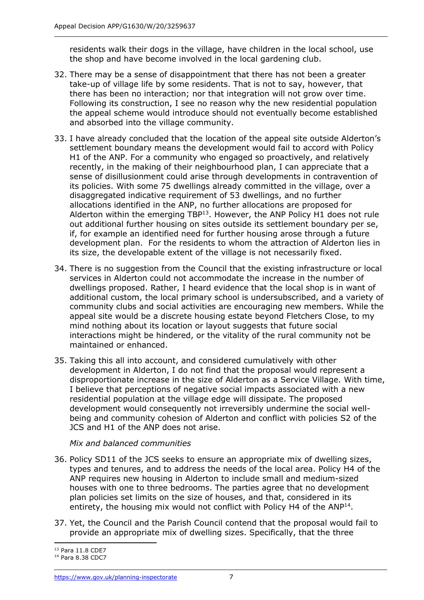residents walk their dogs in the village, have children in the local school, use the shop and have become involved in the local gardening club.

- 32. There may be a sense of disappointment that there has not been a greater take-up of village life by some residents. That is not to say, however, that there has been no interaction; nor that integration will not grow over time. Following its construction, I see no reason why the new residential population the appeal scheme would introduce should not eventually become established and absorbed into the village community.
- 33. I have already concluded that the location of the appeal site outside Alderton's settlement boundary means the development would fail to accord with Policy H1 of the ANP. For a community who engaged so proactively, and relatively recently, in the making of their neighbourhood plan, I can appreciate that a sense of disillusionment could arise through developments in contravention of its policies. With some 75 dwellings already committed in the village, over a disaggregated indicative requirement of 53 dwellings, and no further allocations identified in the ANP, no further allocations are proposed for Alderton within the emerging  $TBP^{13}$ . However, the ANP Policy H1 does not rule out additional further housing on sites outside its settlement boundary per se, if, for example an identified need for further housing arose through a future development plan. For the residents to whom the attraction of Alderton lies in its size, the developable extent of the village is not necessarily fixed.
- 34. There is no suggestion from the Council that the existing infrastructure or local services in Alderton could not accommodate the increase in the number of dwellings proposed. Rather, I heard evidence that the local shop is in want of additional custom, the local primary school is undersubscribed, and a variety of community clubs and social activities are encouraging new members. While the appeal site would be a discrete housing estate beyond Fletchers Close, to my mind nothing about its location or layout suggests that future social interactions might be hindered, or the vitality of the rural community not be maintained or enhanced.
- 35. Taking this all into account, and considered cumulatively with other development in Alderton, I do not find that the proposal would represent a disproportionate increase in the size of Alderton as a Service Village. With time, I believe that perceptions of negative social impacts associated with a new residential population at the village edge will dissipate. The proposed development would consequently not irreversibly undermine the social wellbeing and community cohesion of Alderton and conflict with policies S2 of the JCS and H1 of the ANP does not arise.

*Mix and balanced communities*

- 36. Policy SD11 of the JCS seeks to ensure an appropriate mix of dwelling sizes, types and tenures, and to address the needs of the local area. Policy H4 of the ANP requires new housing in Alderton to include small and medium-sized houses with one to three bedrooms. The parties agree that no development plan policies set limits on the size of houses, and that, considered in its entirety, the housing mix would not conflict with Policy H4 of the ANP<sup>14</sup>.
- 37. Yet, the Council and the Parish Council contend that the proposal would fail to provide an appropriate mix of dwelling sizes. Specifically, that the three

<sup>13</sup> Para 11.8 CDE7

<sup>14</sup> Para 8.38 CDC7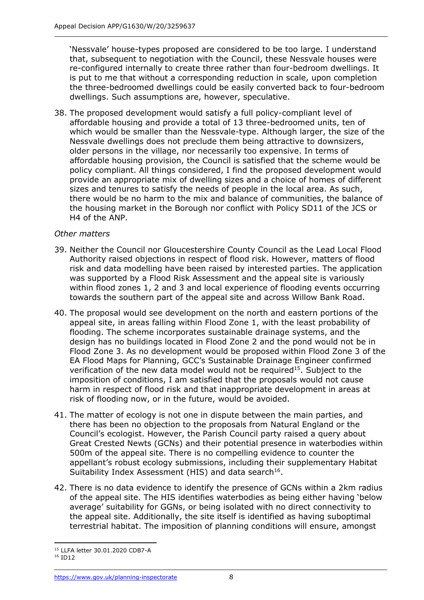'Nessvale' house-types proposed are considered to be too large. I understand that, subsequent to negotiation with the Council, these Nessvale houses were re-configured internally to create three rather than four-bedroom dwellings. It is put to me that without a corresponding reduction in scale, upon completion the three-bedroomed dwellings could be easily converted back to four-bedroom dwellings. Such assumptions are, however, speculative.

38. The proposed development would satisfy a full policy-compliant level of affordable housing and provide a total of 13 three-bedroomed units, ten of which would be smaller than the Nessvale-type. Although larger, the size of the Nessvale dwellings does not preclude them being attractive to downsizers, older persons in the village, nor necessarily too expensive. In terms of affordable housing provision, the Council is satisfied that the scheme would be policy compliant. All things considered, I find the proposed development would provide an appropriate mix of dwelling sizes and a choice of homes of different sizes and tenures to satisfy the needs of people in the local area. As such, there would be no harm to the mix and balance of communities, the balance of the housing market in the Borough nor conflict with Policy SD11 of the JCS or H4 of the ANP.

### *Other matters*

- 39. Neither the Council nor Gloucestershire County Council as the Lead Local Flood Authority raised objections in respect of flood risk. However, matters of flood risk and data modelling have been raised by interested parties. The application was supported by a Flood Risk Assessment and the appeal site is variously within flood zones 1, 2 and 3 and local experience of flooding events occurring towards the southern part of the appeal site and across Willow Bank Road.
- 40. The proposal would see development on the north and eastern portions of the appeal site, in areas falling within Flood Zone 1, with the least probability of flooding. The scheme incorporates sustainable drainage systems, and the design has no buildings located in Flood Zone 2 and the pond would not be in Flood Zone 3. As no development would be proposed within Flood Zone 3 of the EA Flood Maps for Planning, GCC's Sustainable Drainage Engineer confirmed verification of the new data model would not be required<sup>15</sup>. Subject to the imposition of conditions, I am satisfied that the proposals would not cause harm in respect of flood risk and that inappropriate development in areas at risk of flooding now, or in the future, would be avoided.
- 41. The matter of ecology is not one in dispute between the main parties, and there has been no objection to the proposals from Natural England or the Council's ecologist. However, the Parish Council party raised a query about Great Crested Newts (GCNs) and their potential presence in waterbodies within 500m of the appeal site. There is no compelling evidence to counter the appellant's robust ecology submissions, including their supplementary Habitat Suitability Index Assessment (HIS) and data search<sup>16</sup>.
- 42. There is no data evidence to identify the presence of GCNs within a 2km radius of the appeal site. The HIS identifies waterbodies as being either having 'below average' suitability for GGNs, or being isolated with no direct connectivity to the appeal site. Additionally, the site itself is identified as having suboptimal terrestrial habitat. The imposition of planning conditions will ensure, amongst

<sup>15</sup> LLFA letter 30.01.2020 CDB7-A

<sup>16</sup> ID12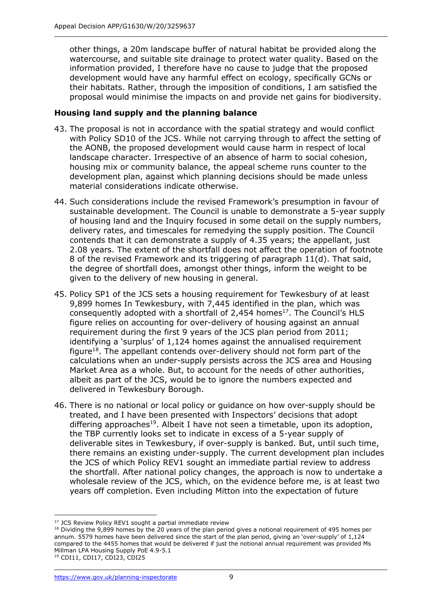other things, a 20m landscape buffer of natural habitat be provided along the watercourse, and suitable site drainage to protect water quality. Based on the information provided, I therefore have no cause to judge that the proposed development would have any harmful effect on ecology, specifically GCNs or their habitats. Rather, through the imposition of conditions, I am satisfied the proposal would minimise the impacts on and provide net gains for biodiversity.

#### **Housing land supply and the planning balance**

- 43. The proposal is not in accordance with the spatial strategy and would conflict with Policy SD10 of the JCS. While not carrying through to affect the setting of the AONB, the proposed development would cause harm in respect of local landscape character. Irrespective of an absence of harm to social cohesion, housing mix or community balance, the appeal scheme runs counter to the development plan, against which planning decisions should be made unless material considerations indicate otherwise.
- 44. Such considerations include the revised Framework's presumption in favour of sustainable development. The Council is unable to demonstrate a 5-year supply of housing land and the Inquiry focused in some detail on the supply numbers, delivery rates, and timescales for remedying the supply position. The Council contends that it can demonstrate a supply of 4.35 years; the appellant, just 2.08 years. The extent of the shortfall does not affect the operation of footnote 8 of the revised Framework and its triggering of paragraph 11(d). That said, the degree of shortfall does, amongst other things, inform the weight to be given to the delivery of new housing in general.
- 45. Policy SP1 of the JCS sets a housing requirement for Tewkesbury of at least 9,899 homes In Tewkesbury, with 7,445 identified in the plan, which was consequently adopted with a shortfall of  $2,454$  homes<sup>17</sup>. The Council's HLS figure relies on accounting for over-delivery of housing against an annual requirement during the first 9 years of the JCS plan period from 2011; identifying a 'surplus' of 1,124 homes against the annualised requirement figure<sup>18</sup>. The appellant contends over-delivery should not form part of the calculations when an under-supply persists across the JCS area and Housing Market Area as a whole. But, to account for the needs of other authorities, albeit as part of the JCS, would be to ignore the numbers expected and delivered in Tewkesbury Borough.
- 46. There is no national or local policy or guidance on how over-supply should be treated, and I have been presented with Inspectors' decisions that adopt differing approaches<sup>19</sup>. Albeit I have not seen a timetable, upon its adoption, the TBP currently looks set to indicate in excess of a 5-year supply of deliverable sites in Tewkesbury, if over-supply is banked. But, until such time, there remains an existing under-supply. The current development plan includes the JCS of which Policy REV1 sought an immediate partial review to address the shortfall. After national policy changes, the approach is now to undertake a wholesale review of the JCS, which, on the evidence before me, is at least two years off completion. Even including Mitton into the expectation of future

<sup>&</sup>lt;sup>17</sup> JCS Review Policy REV1 sought a partial immediate review

<sup>&</sup>lt;sup>18</sup> Dividing the 9,899 homes by the 20 years of the plan period gives a notional requirement of 495 homes per annum. 5579 homes have been delivered since the start of the plan period, giving an 'over-supply' of 1,124 compared to the 4455 homes that would be delivered if just the notional annual requirement was provided Ms Millman LPA Housing Supply PoE 4.9-5.1

<sup>19</sup> CDI11, CDI17, CDI23, CDI25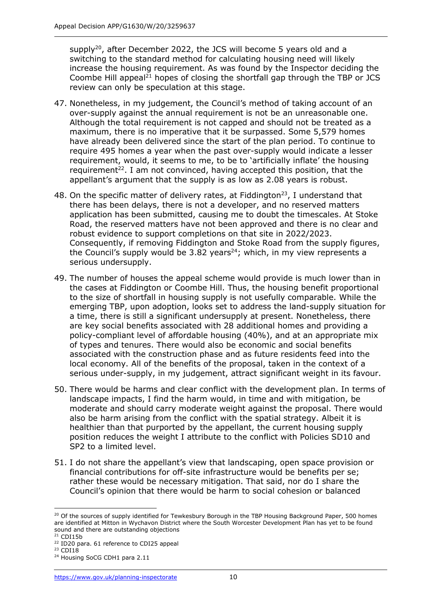supply<sup>20</sup>, after December 2022, the JCS will become 5 years old and a switching to the standard method for calculating housing need will likely increase the housing requirement. As was found by the Inspector deciding the Coombe Hill appeal<sup>21</sup> hopes of closing the shortfall gap through the TBP or JCS review can only be speculation at this stage.

- 47. Nonetheless, in my judgement, the Council's method of taking account of an over-supply against the annual requirement is not be an unreasonable one. Although the total requirement is not capped and should not be treated as a maximum, there is no imperative that it be surpassed. Some 5,579 homes have already been delivered since the start of the plan period. To continue to require 495 homes a year when the past over-supply would indicate a lesser requirement, would, it seems to me, to be to 'artificially inflate' the housing requirement<sup>22</sup>. I am not convinced, having accepted this position, that the appellant's argument that the supply is as low as 2.08 years is robust.
- 48. On the specific matter of delivery rates, at Fiddington<sup>23</sup>, I understand that there has been delays, there is not a developer, and no reserved matters application has been submitted, causing me to doubt the timescales. At Stoke Road, the reserved matters have not been approved and there is no clear and robust evidence to support completions on that site in 2022/2023. Consequently, if removing Fiddington and Stoke Road from the supply figures, the Council's supply would be 3.82 years<sup>24</sup>; which, in my view represents a serious undersupply.
- 49. The number of houses the appeal scheme would provide is much lower than in the cases at Fiddington or Coombe Hill. Thus, the housing benefit proportional to the size of shortfall in housing supply is not usefully comparable. While the emerging TBP, upon adoption, looks set to address the land-supply situation for a time, there is still a significant undersupply at present. Nonetheless, there are key social benefits associated with 28 additional homes and providing a policy-compliant level of affordable housing (40%), and at an appropriate mix of types and tenures. There would also be economic and social benefits associated with the construction phase and as future residents feed into the local economy. All of the benefits of the proposal, taken in the context of a serious under-supply, in my judgement, attract significant weight in its favour.
- 50. There would be harms and clear conflict with the development plan. In terms of landscape impacts, I find the harm would, in time and with mitigation, be moderate and should carry moderate weight against the proposal. There would also be harm arising from the conflict with the spatial strategy. Albeit it is healthier than that purported by the appellant, the current housing supply position reduces the weight I attribute to the conflict with Policies SD10 and SP2 to a limited level.
- 51. I do not share the appellant's view that landscaping, open space provision or financial contributions for off-site infrastructure would be benefits per se; rather these would be necessary mitigation. That said, nor do I share the Council's opinion that there would be harm to social cohesion or balanced

<sup>&</sup>lt;sup>20</sup> Of the sources of supply identified for Tewkesbury Borough in the TBP Housing Background Paper, 500 homes are identified at Mitton in Wychavon District where the South Worcester Development Plan has yet to be found sound and there are outstanding objections

 $21$  CDI15b

<sup>&</sup>lt;sup>22</sup> ID20 para. 61 reference to CDI25 appeal

<sup>&</sup>lt;sup>23</sup> CDI18

<sup>&</sup>lt;sup>24</sup> Housing SoCG CDH1 para 2.11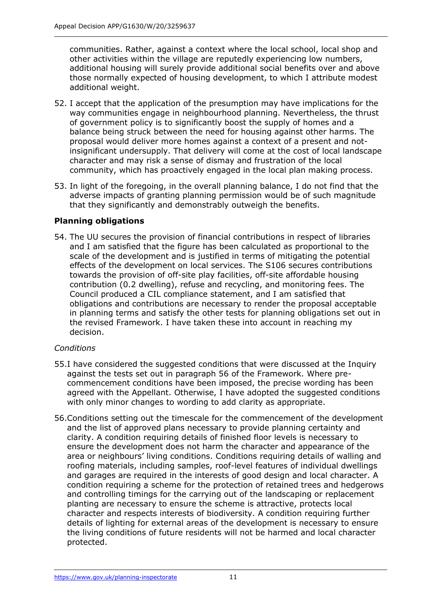communities. Rather, against a context where the local school, local shop and other activities within the village are reputedly experiencing low numbers, additional housing will surely provide additional social benefits over and above those normally expected of housing development, to which I attribute modest additional weight.

- 52. I accept that the application of the presumption may have implications for the way communities engage in neighbourhood planning. Nevertheless, the thrust of government policy is to significantly boost the supply of homes and a balance being struck between the need for housing against other harms. The proposal would deliver more homes against a context of a present and notinsignificant undersupply. That delivery will come at the cost of local landscape character and may risk a sense of dismay and frustration of the local community, which has proactively engaged in the local plan making process.
- 53. In light of the foregoing, in the overall planning balance, I do not find that the adverse impacts of granting planning permission would be of such magnitude that they significantly and demonstrably outweigh the benefits.

# **Planning obligations**

54. The UU secures the provision of financial contributions in respect of libraries and I am satisfied that the figure has been calculated as proportional to the scale of the development and is justified in terms of mitigating the potential effects of the development on local services. The S106 secures contributions towards the provision of off-site play facilities, off-site affordable housing contribution (0.2 dwelling), refuse and recycling, and monitoring fees. The Council produced a CIL compliance statement, and I am satisfied that obligations and contributions are necessary to render the proposal acceptable in planning terms and satisfy the other tests for planning obligations set out in the revised Framework. I have taken these into account in reaching my decision.

### *Conditions*

- 55.I have considered the suggested conditions that were discussed at the Inquiry against the tests set out in paragraph 56 of the Framework. Where precommencement conditions have been imposed, the precise wording has been agreed with the Appellant. Otherwise, I have adopted the suggested conditions with only minor changes to wording to add clarity as appropriate.
- 56.Conditions setting out the timescale for the commencement of the development and the list of approved plans necessary to provide planning certainty and clarity. A condition requiring details of finished floor levels is necessary to ensure the development does not harm the character and appearance of the area or neighbours' living conditions. Conditions requiring details of walling and roofing materials, including samples, roof-level features of individual dwellings and garages are required in the interests of good design and local character. A condition requiring a scheme for the protection of retained trees and hedgerows and controlling timings for the carrying out of the landscaping or replacement planting are necessary to ensure the scheme is attractive, protects local character and respects interests of biodiversity. A condition requiring further details of lighting for external areas of the development is necessary to ensure the living conditions of future residents will not be harmed and local character protected.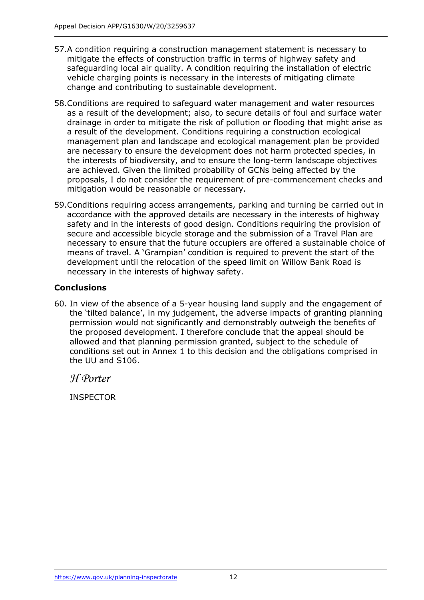- 57.A condition requiring a construction management statement is necessary to mitigate the effects of construction traffic in terms of highway safety and safeguarding local air quality. A condition requiring the installation of electric vehicle charging points is necessary in the interests of mitigating climate change and contributing to sustainable development.
- 58.Conditions are required to safeguard water management and water resources as a result of the development; also, to secure details of foul and surface water drainage in order to mitigate the risk of pollution or flooding that might arise as a result of the development. Conditions requiring a construction ecological management plan and landscape and ecological management plan be provided are necessary to ensure the development does not harm protected species, in the interests of biodiversity, and to ensure the long-term landscape objectives are achieved. Given the limited probability of GCNs being affected by the proposals, I do not consider the requirement of pre-commencement checks and mitigation would be reasonable or necessary.
- 59.Conditions requiring access arrangements, parking and turning be carried out in accordance with the approved details are necessary in the interests of highway safety and in the interests of good design. Conditions requiring the provision of secure and accessible bicycle storage and the submission of a Travel Plan are necessary to ensure that the future occupiers are offered a sustainable choice of means of travel. A 'Grampian' condition is required to prevent the start of the development until the relocation of the speed limit on Willow Bank Road is necessary in the interests of highway safety.

# **Conclusions**

60. In view of the absence of a 5-year housing land supply and the engagement of the 'tilted balance', in my judgement, the adverse impacts of granting planning permission would not significantly and demonstrably outweigh the benefits of the proposed development. I therefore conclude that the appeal should be allowed and that planning permission granted, subject to the schedule of conditions set out in Annex 1 to this decision and the obligations comprised in the UU and S106.

*H Porter*

INSPECTOR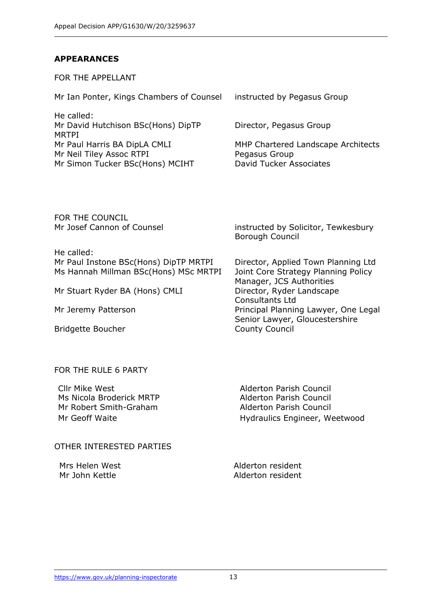#### **APPEARANCES**

FOR THE APPELLANT

Mr Ian Ponter, Kings Chambers of Counsel instructed by Pegasus Group

He called: Mr David Hutchison BSc(Hons) DipTP MRTPI Mr Paul Harris BA DipLA CMLI MHP Chartered Landscape Architects Mr Neil Tiley Assoc RTPI Pegasus Group Mr Simon Tucker BSc(Hons) MCIHT David Tucker Associates

Director, Pegasus Group

FOR THE COUNCIL

He called: Mr Paul Instone BSc(Hons) DipTP MRTPI Director, Applied Town Planning Ltd Ms Hannah Millman BSc(Hons) MSc MRTPI Joint Core Strategy Planning Policy

Mr Stuart Ryder BA (Hons) CMLI Director, Ryder Landscape

Bridgette Boucher

Mr Josef Cannon of Counsel instructed by Solicitor, Tewkesbury Borough Council

Manager, JCS Authorities Consultants Ltd Mr Jeremy Patterson **Principal Planning Lawyer, One Legal** Senior Lawyer, Gloucestershire County Council

#### FOR THE RULE 6 PARTY

Cllr Mike West Alderton Parish Council Ms Nicola Broderick MRTP Alderton Parish Council Mr Robert Smith-Graham Alderton Parish Council

Mr Geoff Waite **Hydraulics Engineer**, Weetwood

#### OTHER INTERESTED PARTIES

Mrs Helen West **Alderton** resident Mr John Kettle Alderton resident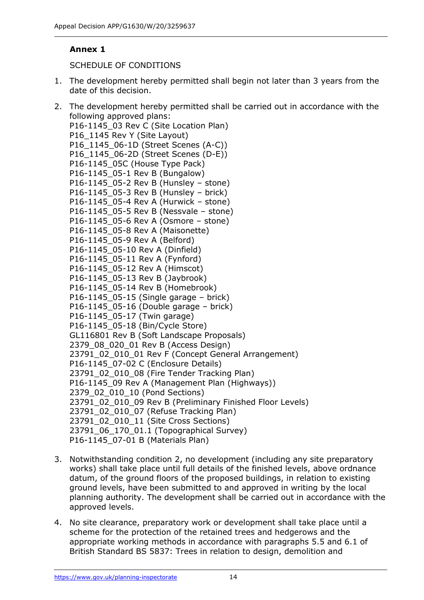## **Annex 1**

SCHEDULE OF CONDITIONS

1. The development hereby permitted shall begin not later than 3 years from the date of this decision.

2. The development hereby permitted shall be carried out in accordance with the following approved plans: P16-1145 03 Rev C (Site Location Plan) P16\_1145 Rev Y (Site Layout) P16 1145 06-1D (Street Scenes (A-C)) P16 1145 06-2D (Street Scenes (D-E)) P16-1145\_05C (House Type Pack) P16-1145\_05-1 Rev B (Bungalow) P16-1145\_05-2 Rev B (Hunsley – stone) P16-1145\_05-3 Rev B (Hunsley – brick) P16-1145\_05-4 Rev A (Hurwick – stone) P16-1145\_05-5 Rev B (Nessvale – stone) P16-1145\_05-6 Rev A (Osmore – stone) P16-1145\_05-8 Rev A (Maisonette) P16-1145\_05-9 Rev A (Belford) P16-1145\_05-10 Rev A (Dinfield) P16-1145\_05-11 Rev A (Fynford) P16-1145\_05-12 Rev A (Himscot) P16-1145\_05-13 Rev B (Jaybrook) P16-1145\_05-14 Rev B (Homebrook) P16-1145\_05-15 (Single garage – brick) P16-1145  $05-16$  (Double garage – brick) P16-1145 05-17 (Twin garage) P16-1145\_05-18 (Bin/Cycle Store) GL116801 Rev B (Soft Landscape Proposals) 2379 08 020 01 Rev B (Access Design) 23791\_02\_010\_01 Rev F (Concept General Arrangement) P16-1145\_07-02 C (Enclosure Details) 23791\_02\_010\_08 (Fire Tender Tracking Plan) P16-1145\_09 Rev A (Management Plan (Highways)) 2379\_02\_010\_10 (Pond Sections) 23791\_02\_010\_09 Rev B (Preliminary Finished Floor Levels) 23791\_02\_010\_07 (Refuse Tracking Plan) 23791\_02\_010\_11 (Site Cross Sections) 23791\_06\_170\_01.1 (Topographical Survey) P16-1145\_07-01 B (Materials Plan)

- 3. Notwithstanding condition 2, no development (including any site preparatory works) shall take place until full details of the finished levels, above ordnance datum, of the ground floors of the proposed buildings, in relation to existing ground levels, have been submitted to and approved in writing by the local planning authority. The development shall be carried out in accordance with the approved levels.
- 4. No site clearance, preparatory work or development shall take place until a scheme for the protection of the retained trees and hedgerows and the appropriate working methods in accordance with paragraphs 5.5 and 6.1 of British Standard BS 5837: Trees in relation to design, demolition and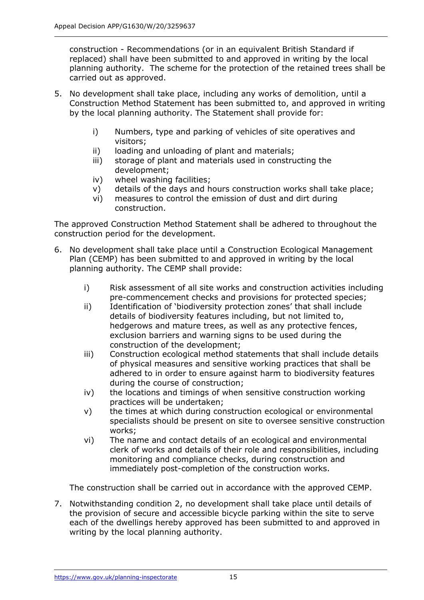construction - Recommendations (or in an equivalent British Standard if replaced) shall have been submitted to and approved in writing by the local planning authority. The scheme for the protection of the retained trees shall be carried out as approved.

- 5. No development shall take place, including any works of demolition, until a Construction Method Statement has been submitted to, and approved in writing by the local planning authority. The Statement shall provide for:
	- i) Numbers, type and parking of vehicles of site operatives and visitors;
	- ii) loading and unloading of plant and materials;
	- iii) storage of plant and materials used in constructing the development;
	- iv) wheel washing facilities;
	- v) details of the days and hours construction works shall take place;
	- vi) measures to control the emission of dust and dirt during construction.

The approved Construction Method Statement shall be adhered to throughout the construction period for the development.

- 6. No development shall take place until a Construction Ecological Management Plan (CEMP) has been submitted to and approved in writing by the local planning authority. The CEMP shall provide:
	- i) Risk assessment of all site works and construction activities including pre-commencement checks and provisions for protected species;
	- ii) Identification of 'biodiversity protection zones' that shall include details of biodiversity features including, but not limited to, hedgerows and mature trees, as well as any protective fences, exclusion barriers and warning signs to be used during the construction of the development;
	- iii) Construction ecological method statements that shall include details of physical measures and sensitive working practices that shall be adhered to in order to ensure against harm to biodiversity features during the course of construction;
	- iv) the locations and timings of when sensitive construction working practices will be undertaken;
	- v) the times at which during construction ecological or environmental specialists should be present on site to oversee sensitive construction works;
	- vi) The name and contact details of an ecological and environmental clerk of works and details of their role and responsibilities, including monitoring and compliance checks, during construction and immediately post-completion of the construction works.

The construction shall be carried out in accordance with the approved CEMP.

7. Notwithstanding condition 2, no development shall take place until details of the provision of secure and accessible bicycle parking within the site to serve each of the dwellings hereby approved has been submitted to and approved in writing by the local planning authority.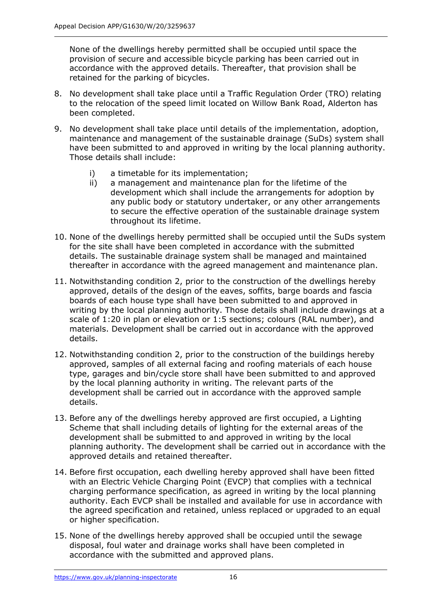None of the dwellings hereby permitted shall be occupied until space the provision of secure and accessible bicycle parking has been carried out in accordance with the approved details. Thereafter, that provision shall be retained for the parking of bicycles.

- 8. No development shall take place until a Traffic Regulation Order (TRO) relating to the relocation of the speed limit located on Willow Bank Road, Alderton has been completed.
- 9. No development shall take place until details of the implementation, adoption, maintenance and management of the sustainable drainage (SuDs) system shall have been submitted to and approved in writing by the local planning authority. Those details shall include:
	- i) a timetable for its implementation;
	- ii) a management and maintenance plan for the lifetime of the development which shall include the arrangements for adoption by any public body or statutory undertaker, or any other arrangements to secure the effective operation of the sustainable drainage system throughout its lifetime.
- 10. None of the dwellings hereby permitted shall be occupied until the SuDs system for the site shall have been completed in accordance with the submitted details. The sustainable drainage system shall be managed and maintained thereafter in accordance with the agreed management and maintenance plan.
- 11. Notwithstanding condition 2, prior to the construction of the dwellings hereby approved, details of the design of the eaves, soffits, barge boards and fascia boards of each house type shall have been submitted to and approved in writing by the local planning authority. Those details shall include drawings at a scale of 1:20 in plan or elevation or 1:5 sections; colours (RAL number), and materials. Development shall be carried out in accordance with the approved details.
- 12. Notwithstanding condition 2, prior to the construction of the buildings hereby approved, samples of all external facing and roofing materials of each house type, garages and bin/cycle store shall have been submitted to and approved by the local planning authority in writing. The relevant parts of the development shall be carried out in accordance with the approved sample details.
- 13. Before any of the dwellings hereby approved are first occupied, a Lighting Scheme that shall including details of lighting for the external areas of the development shall be submitted to and approved in writing by the local planning authority. The development shall be carried out in accordance with the approved details and retained thereafter.
- 14. Before first occupation, each dwelling hereby approved shall have been fitted with an Electric Vehicle Charging Point (EVCP) that complies with a technical charging performance specification, as agreed in writing by the local planning authority. Each EVCP shall be installed and available for use in accordance with the agreed specification and retained, unless replaced or upgraded to an equal or higher specification.
- 15. None of the dwellings hereby approved shall be occupied until the sewage disposal, foul water and drainage works shall have been completed in accordance with the submitted and approved plans.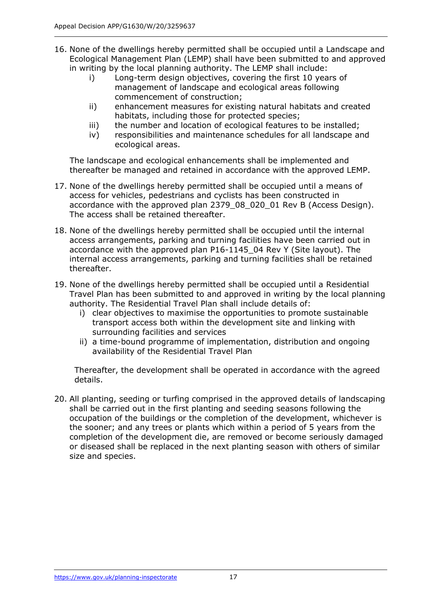- 16. None of the dwellings hereby permitted shall be occupied until a Landscape and Ecological Management Plan (LEMP) shall have been submitted to and approved in writing by the local planning authority. The LEMP shall include:
	- i) Long-term design objectives, covering the first 10 years of management of landscape and ecological areas following commencement of construction;
	- ii) enhancement measures for existing natural habitats and created habitats, including those for protected species;
	- iii) the number and location of ecological features to be installed;
	- iv) responsibilities and maintenance schedules for all landscape and ecological areas.

The landscape and ecological enhancements shall be implemented and thereafter be managed and retained in accordance with the approved LEMP.

- 17. None of the dwellings hereby permitted shall be occupied until a means of access for vehicles, pedestrians and cyclists has been constructed in accordance with the approved plan 2379\_08\_020\_01 Rev B (Access Design). The access shall be retained thereafter.
- 18. None of the dwellings hereby permitted shall be occupied until the internal access arrangements, parking and turning facilities have been carried out in accordance with the approved plan P16-1145\_04 Rev Y (Site layout). The internal access arrangements, parking and turning facilities shall be retained thereafter.
- 19. None of the dwellings hereby permitted shall be occupied until a Residential Travel Plan has been submitted to and approved in writing by the local planning authority. The Residential Travel Plan shall include details of:
	- i) clear objectives to maximise the opportunities to promote sustainable transport access both within the development site and linking with surrounding facilities and services
	- ii) a time-bound programme of implementation, distribution and ongoing availability of the Residential Travel Plan

Thereafter, the development shall be operated in accordance with the agreed details.

20. All planting, seeding or turfing comprised in the approved details of landscaping shall be carried out in the first planting and seeding seasons following the occupation of the buildings or the completion of the development, whichever is the sooner; and any trees or plants which within a period of 5 years from the completion of the development die, are removed or become seriously damaged or diseased shall be replaced in the next planting season with others of similar size and species.